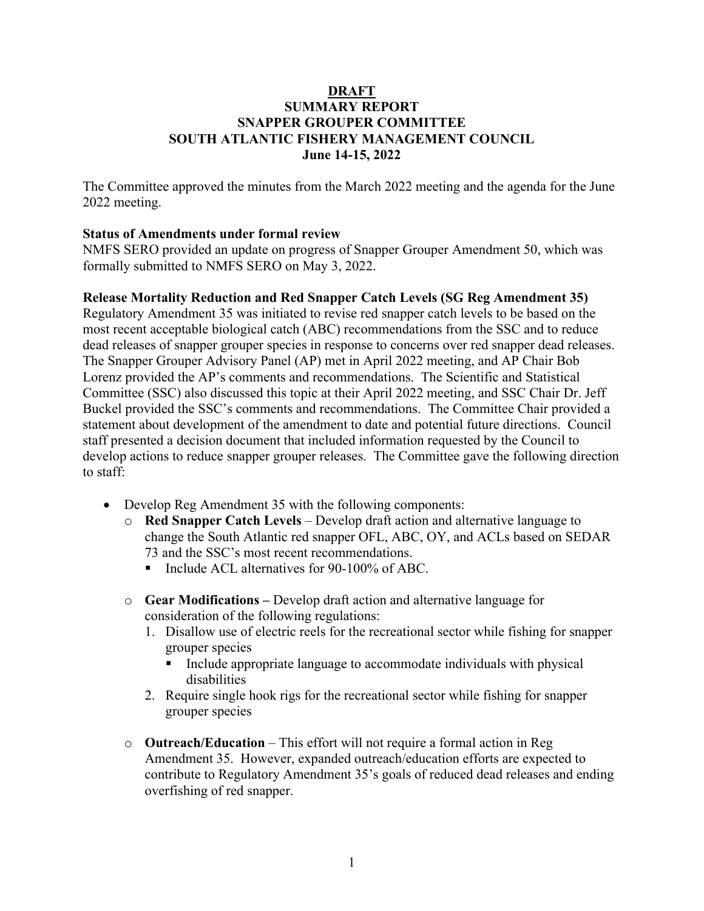#### **DRAFT SUMMARY REPORT SNAPPER GROUPER COMMITTEE SOUTH ATLANTIC FISHERY MANAGEMENT COUNCIL June 14-15, 2022**

The Committee approved the minutes from the March 2022 meeting and the agenda for the June 2022 meeting.

#### **Status of Amendments under formal review**

NMFS SERO provided an update on progress of Snapper Grouper Amendment 50, which was formally submitted to NMFS SERO on May 3, 2022.

#### **Release Mortality Reduction and Red Snapper Catch Levels (SG Reg Amendment 35)**

Regulatory Amendment 35 was initiated to revise red snapper catch levels to be based on the most recent acceptable biological catch (ABC) recommendations from the SSC and to reduce dead releases of snapper grouper species in response to concerns over red snapper dead releases. The Snapper Grouper Advisory Panel (AP) met in April 2022 meeting, and AP Chair Bob Lorenz provided the AP's comments and recommendations. The Scientific and Statistical Committee (SSC) also discussed this topic at their April 2022 meeting, and SSC Chair Dr. Jeff Buckel provided the SSC's comments and recommendations. The Committee Chair provided a statement about development of the amendment to date and potential future directions. Council staff presented a decision document that included information requested by the Council to develop actions to reduce snapper grouper releases. The Committee gave the following direction to staff:

- Develop Reg Amendment 35 with the following components:
	- o **Red Snapper Catch Levels** Develop draft action and alternative language to change the South Atlantic red snapper OFL, ABC, OY, and ACLs based on SEDAR 73 and the SSC's most recent recommendations.
		- Include ACL alternatives for 90-100% of ABC.
	- o **Gear Modifications** Develop draft action and alternative language for consideration of the following regulations:
		- 1. Disallow use of electric reels for the recreational sector while fishing for snapper grouper species
			- **Include appropriate language to accommodate individuals with physical** disabilities
		- 2. Require single hook rigs for the recreational sector while fishing for snapper grouper species
	- o **Outreach/Education** This effort will not require a formal action in Reg Amendment 35. However, expanded outreach/education efforts are expected to contribute to Regulatory Amendment 35's goals of reduced dead releases and ending overfishing of red snapper.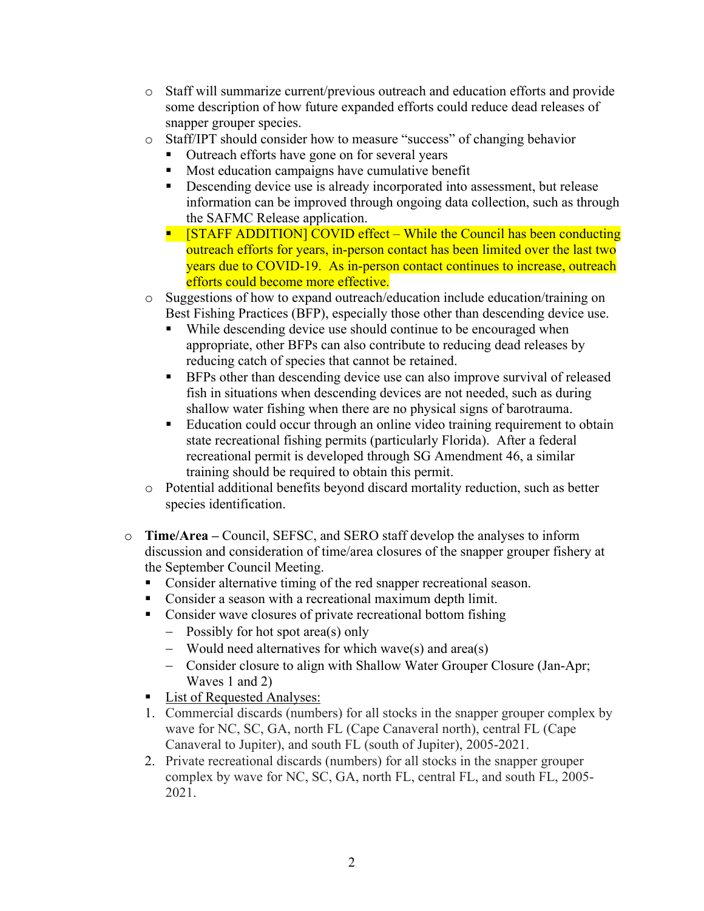- o Staff will summarize current/previous outreach and education efforts and provide some description of how future expanded efforts could reduce dead releases of snapper grouper species.
- o Staff/IPT should consider how to measure "success" of changing behavior
	- Outreach efforts have gone on for several years
	- **Most education campaigns have cumulative benefit**
	- Descending device use is already incorporated into assessment, but release information can be improved through ongoing data collection, such as through the SAFMC Release application.
	- **STAFF ADDITION] COVID effect While the Council has been conducting** outreach efforts for years, in-person contact has been limited over the last two years due to COVID-19. As in-person contact continues to increase, outreach efforts could become more effective.
- o Suggestions of how to expand outreach/education include education/training on Best Fishing Practices (BFP), especially those other than descending device use.
	- While descending device use should continue to be encouraged when appropriate, other BFPs can also contribute to reducing dead releases by reducing catch of species that cannot be retained.
	- **BFPs other than descending device use can also improve survival of released** fish in situations when descending devices are not needed, such as during shallow water fishing when there are no physical signs of barotrauma.
	- Education could occur through an online video training requirement to obtain state recreational fishing permits (particularly Florida). After a federal recreational permit is developed through SG Amendment 46, a similar training should be required to obtain this permit.
- o Potential additional benefits beyond discard mortality reduction, such as better species identification.
- o **Time/Area** Council, SEFSC, and SERO staff develop the analyses to inform discussion and consideration of time/area closures of the snapper grouper fishery at the September Council Meeting.
	- Consider alternative timing of the red snapper recreational season.
	- Consider a season with a recreational maximum depth limit.
	- Consider wave closures of private recreational bottom fishing
		- − Possibly for hot spot area(s) only
		- − Would need alternatives for which wave(s) and area(s)
		- − Consider closure to align with Shallow Water Grouper Closure (Jan-Apr; Waves 1 and 2)
	- List of Requested Analyses:
	- 1. Commercial discards (numbers) for all stocks in the snapper grouper complex by wave for NC, SC, GA, north FL (Cape Canaveral north), central FL (Cape Canaveral to Jupiter), and south FL (south of Jupiter), 2005-2021.
	- 2. Private recreational discards (numbers) for all stocks in the snapper grouper complex by wave for NC, SC, GA, north FL, central FL, and south FL, 2005- 2021.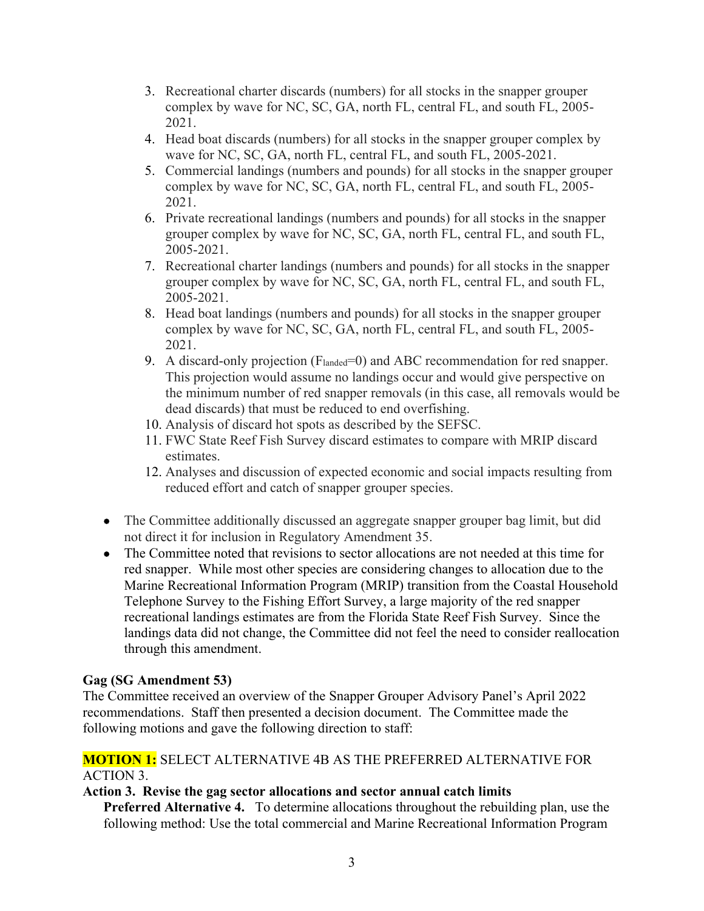- 3. Recreational charter discards (numbers) for all stocks in the snapper grouper complex by wave for NC, SC, GA, north FL, central FL, and south FL, 2005- 2021.
- 4. Head boat discards (numbers) for all stocks in the snapper grouper complex by wave for NC, SC, GA, north FL, central FL, and south FL, 2005-2021.
- 5. Commercial landings (numbers and pounds) for all stocks in the snapper grouper complex by wave for NC, SC, GA, north FL, central FL, and south FL, 2005- 2021.
- 6. Private recreational landings (numbers and pounds) for all stocks in the snapper grouper complex by wave for NC, SC, GA, north FL, central FL, and south FL, 2005-2021.
- 7. Recreational charter landings (numbers and pounds) for all stocks in the snapper grouper complex by wave for NC, SC, GA, north FL, central FL, and south FL, 2005-2021.
- 8. Head boat landings (numbers and pounds) for all stocks in the snapper grouper complex by wave for NC, SC, GA, north FL, central FL, and south FL, 2005- 2021.
- 9. A discard-only projection (Flanded=0) and ABC recommendation for red snapper. This projection would assume no landings occur and would give perspective on the minimum number of red snapper removals (in this case, all removals would be dead discards) that must be reduced to end overfishing.
- 10. Analysis of discard hot spots as described by the SEFSC.
- 11. FWC State Reef Fish Survey discard estimates to compare with MRIP discard estimates.
- 12. Analyses and discussion of expected economic and social impacts resulting from reduced effort and catch of snapper grouper species.
- The Committee additionally discussed an aggregate snapper grouper bag limit, but did not direct it for inclusion in Regulatory Amendment 35.
- The Committee noted that revisions to sector allocations are not needed at this time for red snapper. While most other species are considering changes to allocation due to the Marine Recreational Information Program (MRIP) transition from the Coastal Household Telephone Survey to the Fishing Effort Survey, a large majority of the red snapper recreational landings estimates are from the Florida State Reef Fish Survey. Since the landings data did not change, the Committee did not feel the need to consider reallocation through this amendment.

# **Gag (SG Amendment 53)**

The Committee received an overview of the Snapper Grouper Advisory Panel's April 2022 recommendations. Staff then presented a decision document. The Committee made the following motions and gave the following direction to staff:

## **MOTION 1:** SELECT ALTERNATIVE 4B AS THE PREFERRED ALTERNATIVE FOR ACTION 3.

## **Action 3. Revise the gag sector allocations and sector annual catch limits**

**Preferred Alternative 4.** To determine allocations throughout the rebuilding plan, use the following method: Use the total commercial and Marine Recreational Information Program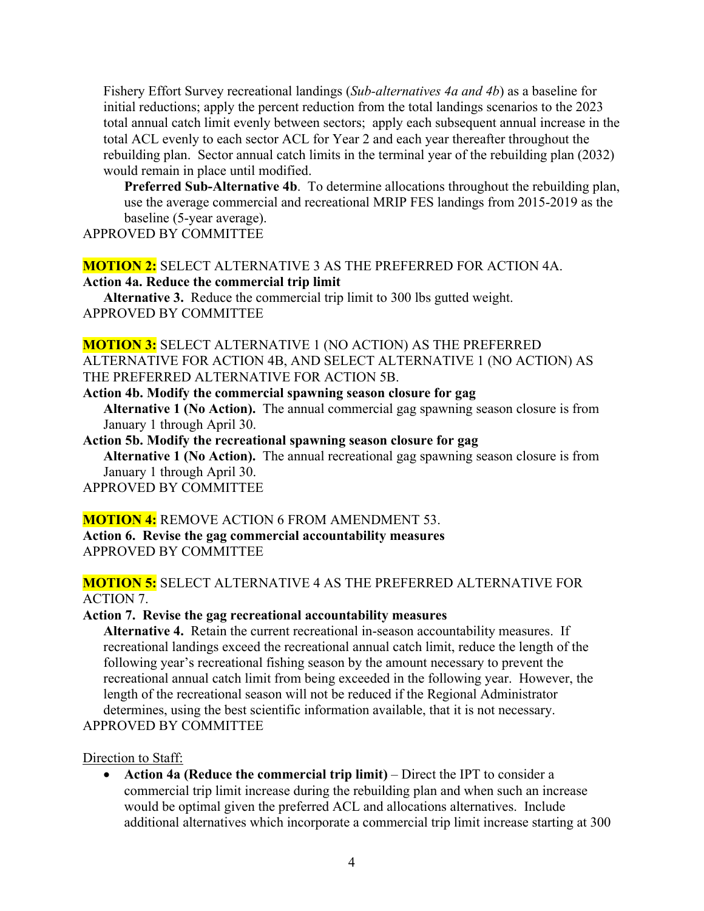Fishery Effort Survey recreational landings (*Sub-alternatives 4a and 4b*) as a baseline for initial reductions; apply the percent reduction from the total landings scenarios to the 2023 total annual catch limit evenly between sectors; apply each subsequent annual increase in the total ACL evenly to each sector ACL for Year 2 and each year thereafter throughout the rebuilding plan. Sector annual catch limits in the terminal year of the rebuilding plan (2032) would remain in place until modified.

**Preferred Sub-Alternative 4b**. To determine allocations throughout the rebuilding plan, use the average commercial and recreational MRIP FES landings from 2015-2019 as the baseline (5-year average).

APPROVED BY COMMITTEE

#### **MOTION 2:** SELECT ALTERNATIVE 3 AS THE PREFERRED FOR ACTION 4A. **Action 4a. Reduce the commercial trip limit**

**Alternative 3.** Reduce the commercial trip limit to 300 lbs gutted weight. APPROVED BY COMMITTEE

## **MOTION 3:** SELECT ALTERNATIVE 1 (NO ACTION) AS THE PREFERRED ALTERNATIVE FOR ACTION 4B, AND SELECT ALTERNATIVE 1 (NO ACTION) AS THE PREFERRED ALTERNATIVE FOR ACTION 5B.

**Action 4b. Modify the commercial spawning season closure for gag Alternative 1 (No Action).** The annual commercial gag spawning season closure is from January 1 through April 30.

**Action 5b. Modify the recreational spawning season closure for gag Alternative 1 (No Action).** The annual recreational gag spawning season closure is from January 1 through April 30.

# APPROVED BY COMMITTEE

## **MOTION 4:** REMOVE ACTION 6 FROM AMENDMENT 53.

**Action 6. Revise the gag commercial accountability measures** APPROVED BY COMMITTEE

## **MOTION 5:** SELECT ALTERNATIVE 4 AS THE PREFERRED ALTERNATIVE FOR ACTION 7.

#### **Action 7. Revise the gag recreational accountability measures**

**Alternative 4.** Retain the current recreational in-season accountability measures. If recreational landings exceed the recreational annual catch limit, reduce the length of the following year's recreational fishing season by the amount necessary to prevent the recreational annual catch limit from being exceeded in the following year. However, the length of the recreational season will not be reduced if the Regional Administrator determines, using the best scientific information available, that it is not necessary. APPROVED BY COMMITTEE

Direction to Staff:

• **Action 4a (Reduce the commercial trip limit)** – Direct the IPT to consider a commercial trip limit increase during the rebuilding plan and when such an increase would be optimal given the preferred ACL and allocations alternatives. Include additional alternatives which incorporate a commercial trip limit increase starting at 300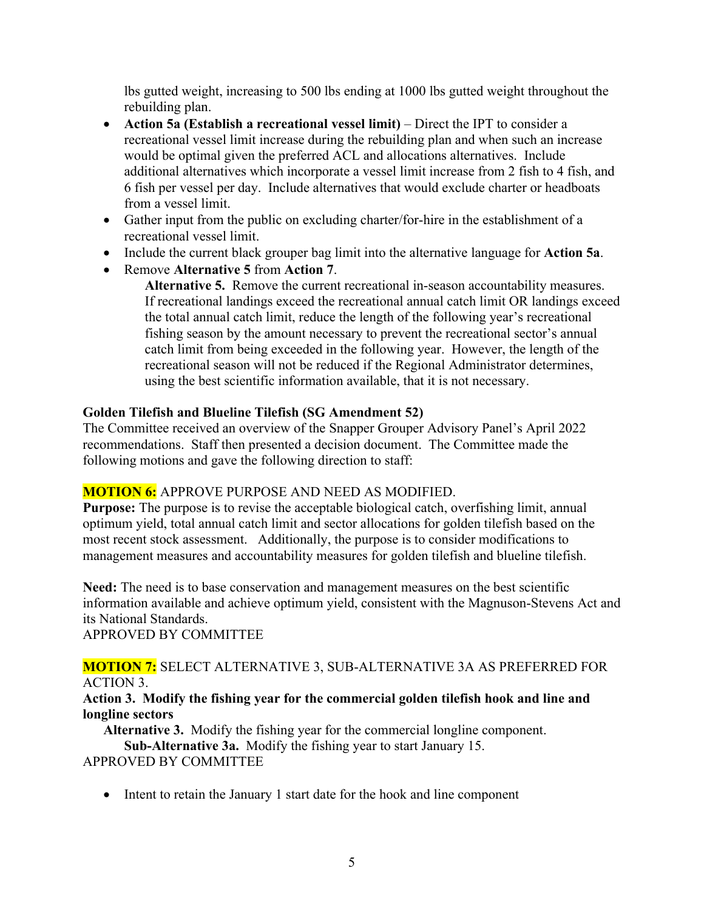lbs gutted weight, increasing to 500 lbs ending at 1000 lbs gutted weight throughout the rebuilding plan.

- **Action 5a (Establish a recreational vessel limit)** Direct the IPT to consider a recreational vessel limit increase during the rebuilding plan and when such an increase would be optimal given the preferred ACL and allocations alternatives. Include additional alternatives which incorporate a vessel limit increase from 2 fish to 4 fish, and 6 fish per vessel per day. Include alternatives that would exclude charter or headboats from a vessel limit.
- Gather input from the public on excluding charter/for-hire in the establishment of a recreational vessel limit.
- Include the current black grouper bag limit into the alternative language for **Action 5a**.
- Remove **Alternative 5** from **Action 7**.

**Alternative 5.** Remove the current recreational in-season accountability measures. If recreational landings exceed the recreational annual catch limit OR landings exceed the total annual catch limit, reduce the length of the following year's recreational fishing season by the amount necessary to prevent the recreational sector's annual catch limit from being exceeded in the following year. However, the length of the recreational season will not be reduced if the Regional Administrator determines, using the best scientific information available, that it is not necessary.

## **Golden Tilefish and Blueline Tilefish (SG Amendment 52)**

The Committee received an overview of the Snapper Grouper Advisory Panel's April 2022 recommendations. Staff then presented a decision document. The Committee made the following motions and gave the following direction to staff:

## **MOTION 6:** APPROVE PURPOSE AND NEED AS MODIFIED.

**Purpose:** The purpose is to revise the acceptable biological catch, overfishing limit, annual optimum yield, total annual catch limit and sector allocations for golden tilefish based on the most recent stock assessment. Additionally, the purpose is to consider modifications to management measures and accountability measures for golden tilefish and blueline tilefish.

**Need:** The need is to base conservation and management measures on the best scientific information available and achieve optimum yield, consistent with the Magnuson-Stevens Act and its National Standards.

APPROVED BY COMMITTEE

## **MOTION 7:** SELECT ALTERNATIVE 3, SUB-ALTERNATIVE 3A AS PREFERRED FOR ACTION 3.

#### **Action 3. Modify the fishing year for the commercial golden tilefish hook and line and longline sectors**

**Alternative 3.** Modify the fishing year for the commercial longline component. **Sub-Alternative 3a.** Modify the fishing year to start January 15.

APPROVED BY COMMITTEE

• Intent to retain the January 1 start date for the hook and line component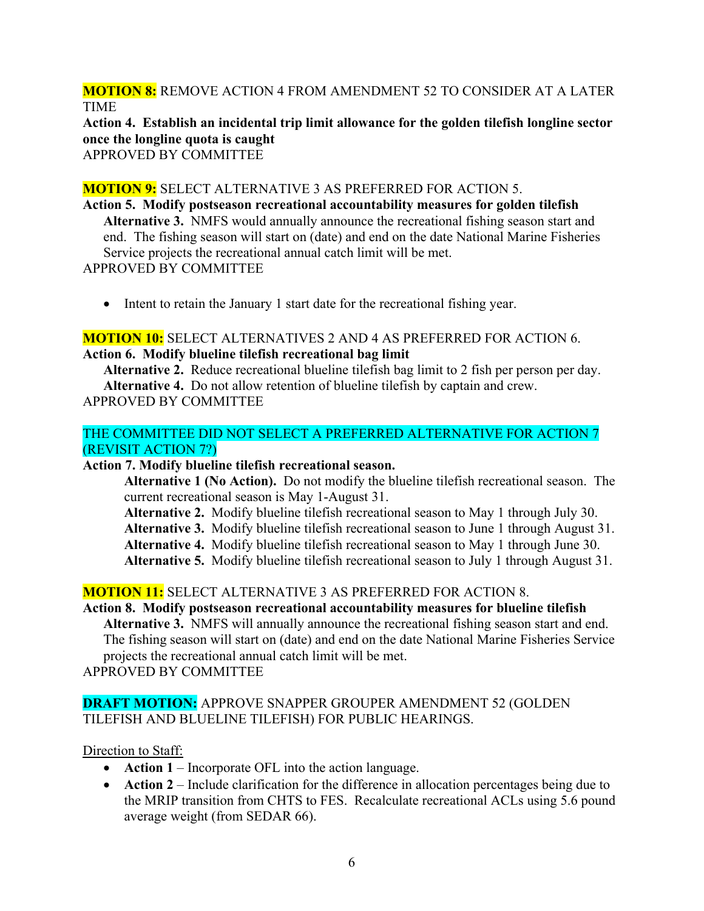**MOTION 8:** REMOVE ACTION 4 FROM AMENDMENT 52 TO CONSIDER AT A LATER TIME

**Action 4. Establish an incidental trip limit allowance for the golden tilefish longline sector once the longline quota is caught**

APPROVED BY COMMITTEE

### **MOTION 9:** SELECT ALTERNATIVE 3 AS PREFERRED FOR ACTION 5.

**Action 5. Modify postseason recreational accountability measures for golden tilefish Alternative 3.** NMFS would annually announce the recreational fishing season start and end. The fishing season will start on (date) and end on the date National Marine Fisheries Service projects the recreational annual catch limit will be met. APPROVED BY COMMITTEE

• Intent to retain the January 1 start date for the recreational fishing year.

# **MOTION 10:** SELECT ALTERNATIVES 2 AND 4 AS PREFERRED FOR ACTION 6. **Action 6. Modify blueline tilefish recreational bag limit**

**Alternative 2.** Reduce recreational blueline tilefish bag limit to 2 fish per person per day. **Alternative 4.** Do not allow retention of blueline tilefish by captain and crew. APPROVED BY COMMITTEE

## THE COMMITTEE DID NOT SELECT A PREFERRED ALTERNATIVE FOR ACTION 7 (REVISIT ACTION 7?)

## **Action 7. Modify blueline tilefish recreational season.**

**Alternative 1 (No Action).** Do not modify the blueline tilefish recreational season. The current recreational season is May 1-August 31.

- **Alternative 2.** Modify blueline tilefish recreational season to May 1 through July 30.
- **Alternative 3.** Modify blueline tilefish recreational season to June 1 through August 31.

**Alternative 4.** Modify blueline tilefish recreational season to May 1 through June 30.

**Alternative 5.** Modify blueline tilefish recreational season to July 1 through August 31.

## **MOTION 11:** SELECT ALTERNATIVE 3 AS PREFERRED FOR ACTION 8.

## **Action 8. Modify postseason recreational accountability measures for blueline tilefish**

**Alternative 3.** NMFS will annually announce the recreational fishing season start and end. The fishing season will start on (date) and end on the date National Marine Fisheries Service projects the recreational annual catch limit will be met.

APPROVED BY COMMITTEE

## **DRAFT MOTION:** APPROVE SNAPPER GROUPER AMENDMENT 52 (GOLDEN TILEFISH AND BLUELINE TILEFISH) FOR PUBLIC HEARINGS.

#### Direction to Staff:

- **Action 1** Incorporate OFL into the action language.
- **Action 2** Include clarification for the difference in allocation percentages being due to the MRIP transition from CHTS to FES. Recalculate recreational ACLs using 5.6 pound average weight (from SEDAR 66).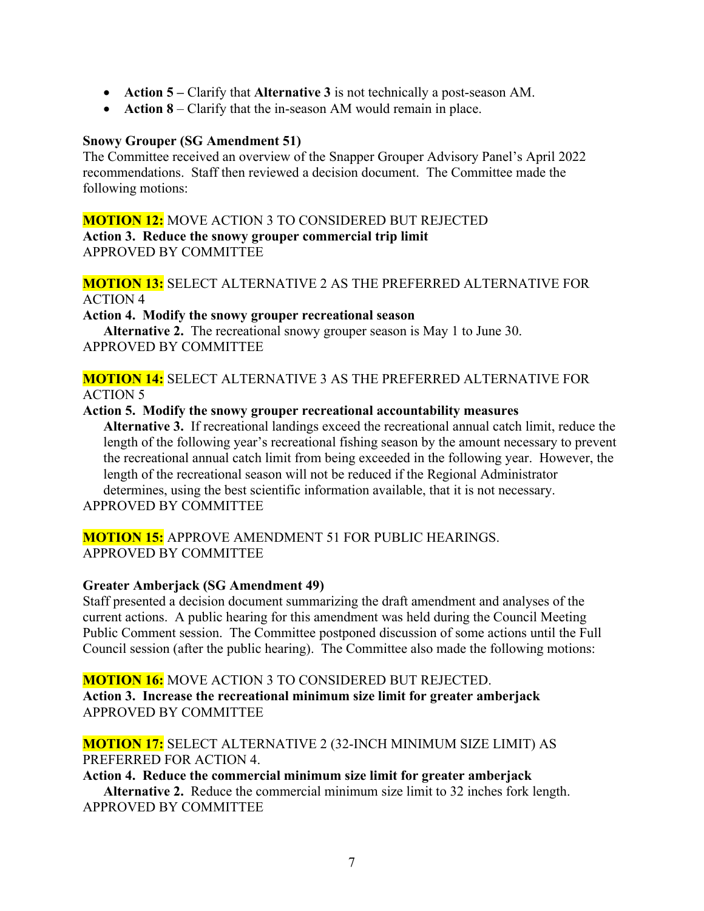- **Action 5 –** Clarify that **Alternative 3** is not technically a post-season AM.
- **Action 8** Clarify that the in-season AM would remain in place.

#### **Snowy Grouper (SG Amendment 51)**

The Committee received an overview of the Snapper Grouper Advisory Panel's April 2022 recommendations. Staff then reviewed a decision document. The Committee made the following motions:

#### **MOTION 12:** MOVE ACTION 3 TO CONSIDERED BUT REJECTED

**Action 3. Reduce the snowy grouper commercial trip limit** APPROVED BY COMMITTEE

#### **MOTION 13:** SELECT ALTERNATIVE 2 AS THE PREFERRED ALTERNATIVE FOR ACTION 4

#### **Action 4. Modify the snowy grouper recreational season**

**Alternative 2.** The recreational snowy grouper season is May 1 to June 30. APPROVED BY COMMITTEE

#### **MOTION 14:** SELECT ALTERNATIVE 3 AS THE PREFERRED ALTERNATIVE FOR ACTION 5

#### **Action 5. Modify the snowy grouper recreational accountability measures**

**Alternative 3.** If recreational landings exceed the recreational annual catch limit, reduce the length of the following year's recreational fishing season by the amount necessary to prevent the recreational annual catch limit from being exceeded in the following year. However, the length of the recreational season will not be reduced if the Regional Administrator determines, using the best scientific information available, that it is not necessary.

APPROVED BY COMMITTEE

#### **MOTION 15:** APPROVE AMENDMENT 51 FOR PUBLIC HEARINGS. APPROVED BY COMMITTEE

#### **Greater Amberjack (SG Amendment 49)**

Staff presented a decision document summarizing the draft amendment and analyses of the current actions. A public hearing for this amendment was held during the Council Meeting Public Comment session. The Committee postponed discussion of some actions until the Full Council session (after the public hearing). The Committee also made the following motions:

## **MOTION 16:** MOVE ACTION 3 TO CONSIDERED BUT REJECTED. **Action 3. Increase the recreational minimum size limit for greater amberjack** APPROVED BY COMMITTEE

#### **MOTION 17:** SELECT ALTERNATIVE 2 (32-INCH MINIMUM SIZE LIMIT) AS PREFERRED FOR ACTION 4.

# **Action 4. Reduce the commercial minimum size limit for greater amberjack Alternative 2.** Reduce the commercial minimum size limit to 32 inches fork length.

APPROVED BY COMMITTEE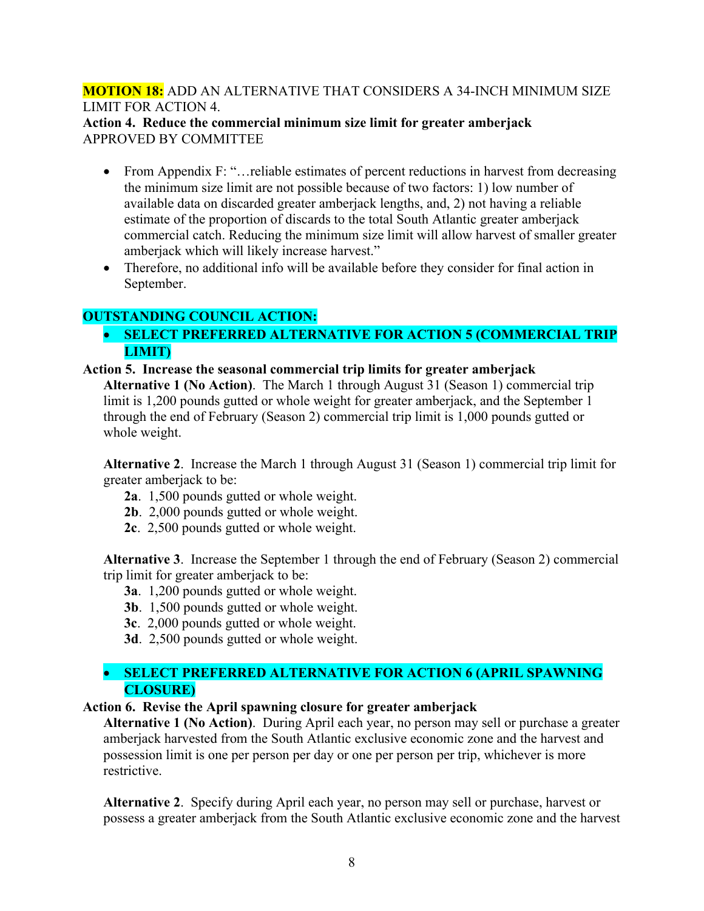## **MOTION 18:** ADD AN ALTERNATIVE THAT CONSIDERS A 34-INCH MINIMUM SIZE LIMIT FOR ACTION 4.

#### **Action 4. Reduce the commercial minimum size limit for greater amberjack** APPROVED BY COMMITTEE

- From Appendix F: "... reliable estimates of percent reductions in harvest from decreasing the minimum size limit are not possible because of two factors: 1) low number of available data on discarded greater amberjack lengths, and, 2) not having a reliable estimate of the proportion of discards to the total South Atlantic greater amberjack commercial catch. Reducing the minimum size limit will allow harvest of smaller greater amberjack which will likely increase harvest."
- Therefore, no additional info will be available before they consider for final action in September.

# **OUTSTANDING COUNCIL ACTION:**

• **SELECT PREFERRED ALTERNATIVE FOR ACTION 5 (COMMERCIAL TRIP LIMIT)**

## **Action 5. Increase the seasonal commercial trip limits for greater amberjack**

**Alternative 1 (No Action)**. The March 1 through August 31 (Season 1) commercial trip limit is 1,200 pounds gutted or whole weight for greater amberjack, and the September 1 through the end of February (Season 2) commercial trip limit is 1,000 pounds gutted or whole weight.

**Alternative 2**. Increase the March 1 through August 31 (Season 1) commercial trip limit for greater amberjack to be:

- **2a**. 1,500 pounds gutted or whole weight.
- **2b**. 2,000 pounds gutted or whole weight.
- **2c**. 2,500 pounds gutted or whole weight.

**Alternative 3**. Increase the September 1 through the end of February (Season 2) commercial trip limit for greater amberjack to be:

- **3a**. 1,200 pounds gutted or whole weight.
- **3b**. 1,500 pounds gutted or whole weight.
- **3c**. 2,000 pounds gutted or whole weight.
- **3d**. 2,500 pounds gutted or whole weight.

## • **SELECT PREFERRED ALTERNATIVE FOR ACTION 6 (APRIL SPAWNING CLOSURE)**

## **Action 6. Revise the April spawning closure for greater amberjack**

**Alternative 1 (No Action)**. During April each year, no person may sell or purchase a greater amberjack harvested from the South Atlantic exclusive economic zone and the harvest and possession limit is one per person per day or one per person per trip, whichever is more restrictive.

**Alternative 2**. Specify during April each year, no person may sell or purchase, harvest or possess a greater amberjack from the South Atlantic exclusive economic zone and the harvest